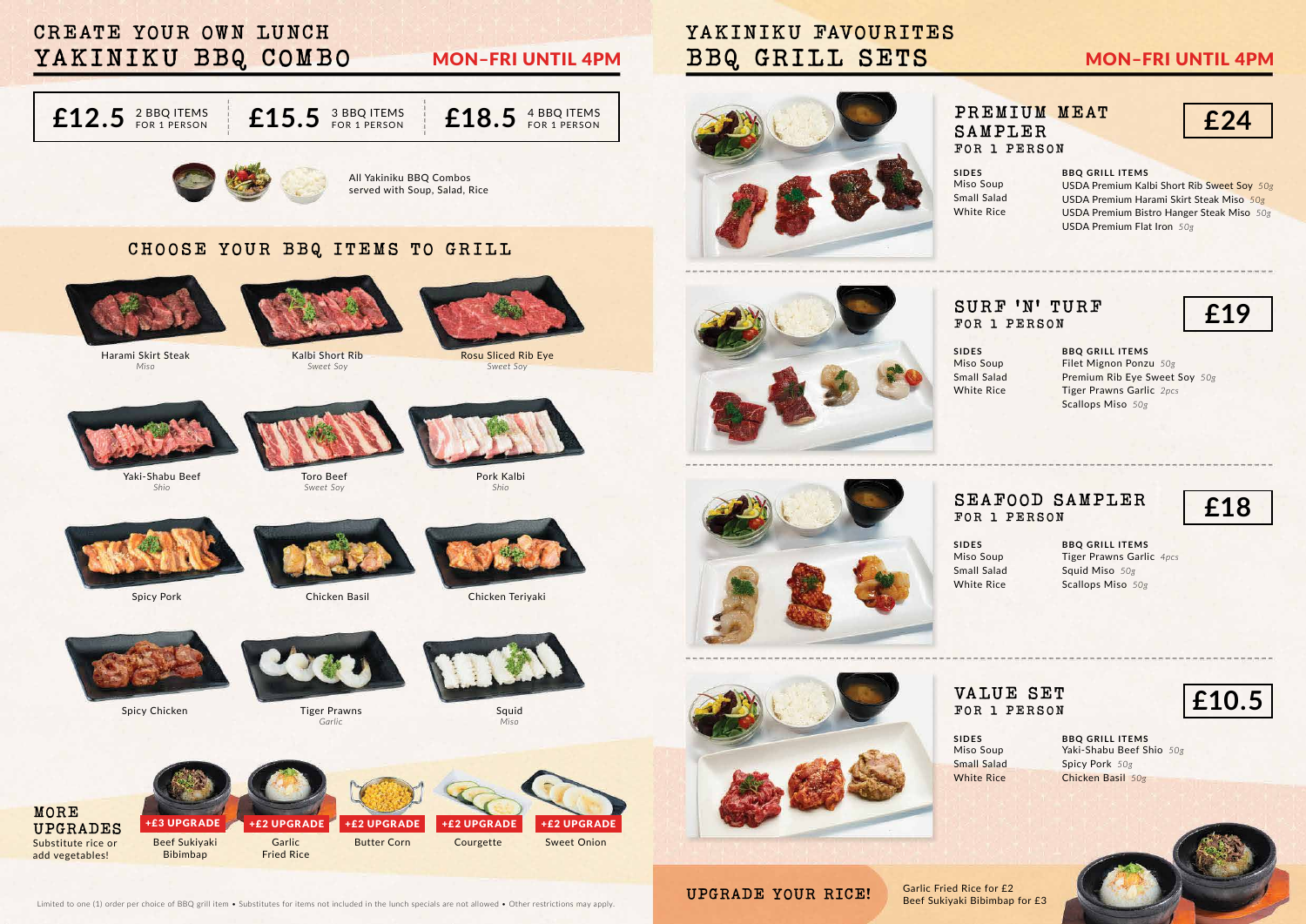**BBQ GRILL ITEMS** USDA Premium Kalbi Short Rib Sweet Soy *50g* USDA Premium Harami Skirt Steak Miso *50g* USDA Premium Bistro Hanger Steak Miso *50g* USDA Premium Flat Iron *50g*

**BBQ GRILL ITEMS** Filet Mignon Ponzu *50g* Premium Rib Eye Sweet Soy *50g* Tiger Prawns Garlic *2pcs* Scallops Miso *50g*

**BBQ GRILL ITEMS** Tiger Prawns Garlic *4pcs* Squid Miso *50g* Scallops Miso *50g*

**BBQ GRILL ITEMS** Yaki-Shabu Beef Shio *50g* Spicy Pork *50g* Chicken Basil *50g*





**£18**

**£10.5**



Beef Sukiyaki Bibimbap for £3

Limited to one (1) order per choice of BBQ grill item • Substitutes for items not included in the lunch specials are not allowed • Other restrictions may apply.

**UPGRADE YOUR RICE!** Garlic Fried Rice for £2

**PREMIUM MEAT SAMPLER FOR 1 PERSON**

### **SURF 'N' TURF FOR 1 PERSON**

#### **SEAFOOD SAMPLER FOR 1 PERSON**

### **VALUE SET FOR 1 PERSON**